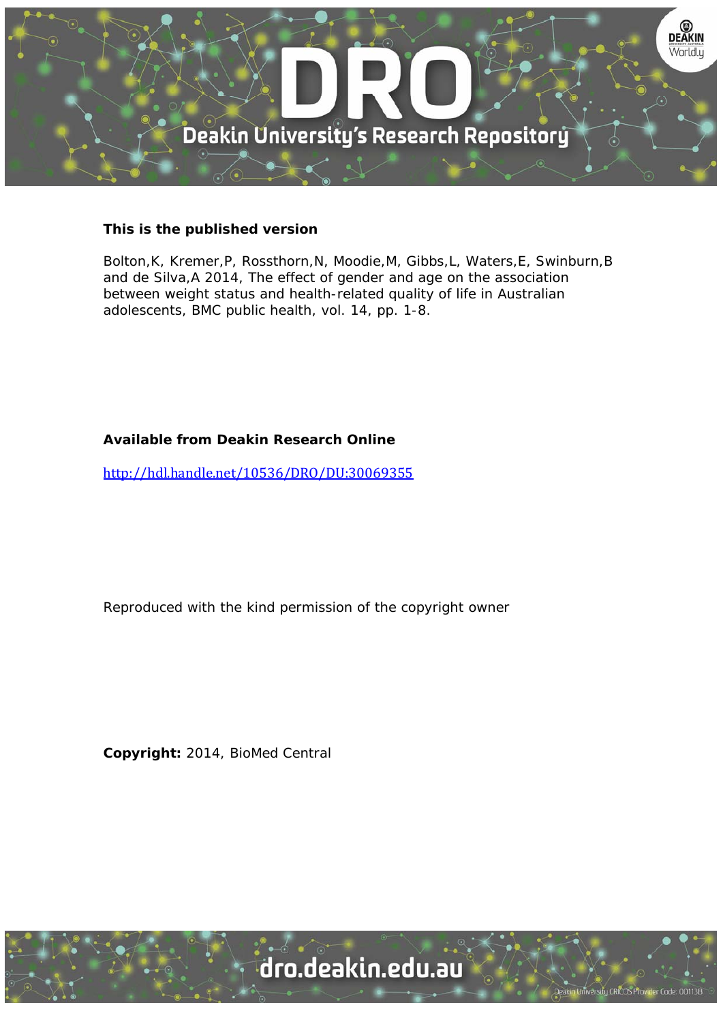

# **This is the published version**

Bolton,K, Kremer,P, Rossthorn,N, Moodie,M, Gibbs,L, Waters,E, Swinburn,B and de Silva,A 2014, The effect of gender and age on the association between weight status and health-related quality of life in Australian adolescents, BMC public health, vol. 14, pp. 1-8.

# **Available from Deakin Research Online**

http://hdl.handle.net/10536/DRO/DU:30069355

Reproduced with the kind permission of the copyright owner

**Copyright:** 2014, BioMed Central

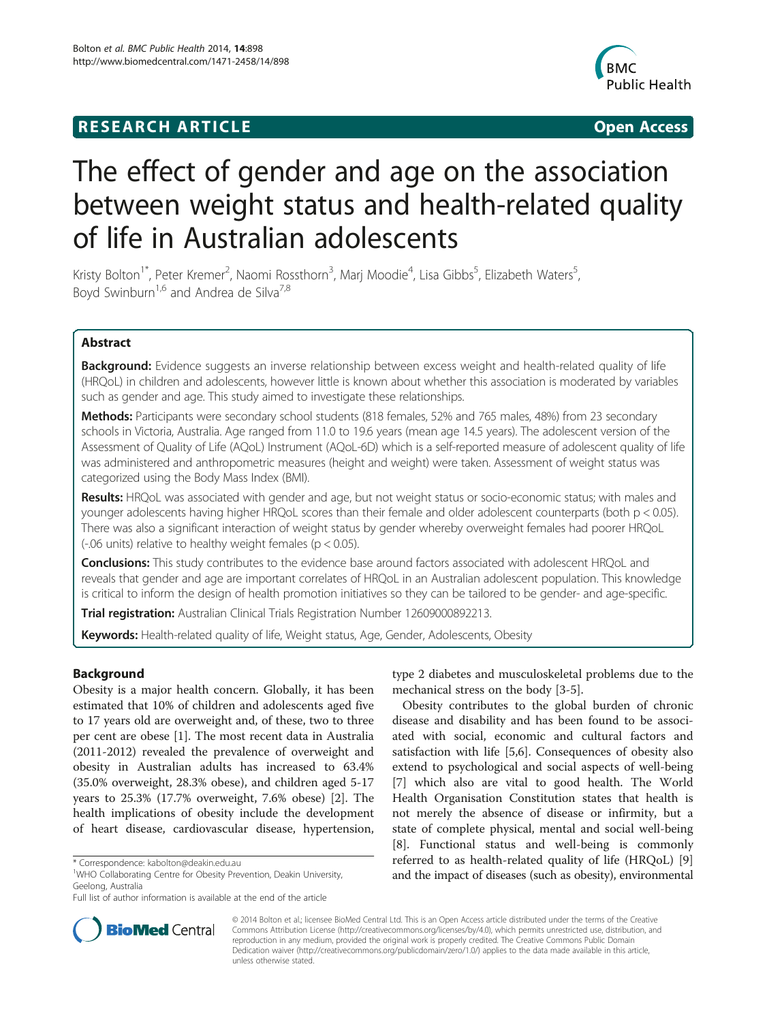# **RESEARCH ARTICLE Example 2018 12:00 Department of the Contract Open Access**

![](_page_1_Picture_2.jpeg)

# The effect of gender and age on the association between weight status and health-related quality of life in Australian adolescents

Kristy Bolton<sup>1\*</sup>, Peter Kremer<sup>2</sup>, Naomi Rossthorn<sup>3</sup>, Marj Moodie<sup>4</sup>, Lisa Gibbs<sup>5</sup>, Elizabeth Waters<sup>5</sup> , Boyd Swinburn<sup>1,6</sup> and Andrea de Silva<sup>7,8</sup>

# Abstract

Background: Evidence suggests an inverse relationship between excess weight and health-related quality of life (HRQoL) in children and adolescents, however little is known about whether this association is moderated by variables such as gender and age. This study aimed to investigate these relationships.

Methods: Participants were secondary school students (818 females, 52% and 765 males, 48%) from 23 secondary schools in Victoria, Australia. Age ranged from 11.0 to 19.6 years (mean age 14.5 years). The adolescent version of the Assessment of Quality of Life (AQoL) Instrument (AQoL-6D) which is a self-reported measure of adolescent quality of life was administered and anthropometric measures (height and weight) were taken. Assessment of weight status was categorized using the Body Mass Index (BMI).

Results: HRQoL was associated with gender and age, but not weight status or socio-economic status; with males and younger adolescents having higher HRQoL scores than their female and older adolescent counterparts (both p < 0.05). There was also a significant interaction of weight status by gender whereby overweight females had poorer HRQoL (-.06 units) relative to healthy weight females ( $p < 0.05$ ).

Conclusions: This study contributes to the evidence base around factors associated with adolescent HRQoL and reveals that gender and age are important correlates of HRQoL in an Australian adolescent population. This knowledge is critical to inform the design of health promotion initiatives so they can be tailored to be gender- and age-specific.

**Trial registration:** Australian Clinical Trials Registration Number [12609000892213](https://www.anzctr.org.au/Trial/Registration/TrialReview.aspx?id=320698).

Keywords: Health-related quality of life, Weight status, Age, Gender, Adolescents, Obesity

# Background

Obesity is a major health concern. Globally, it has been estimated that 10% of children and adolescents aged five to 17 years old are overweight and, of these, two to three per cent are obese [\[1\]](#page-7-0). The most recent data in Australia (2011-2012) revealed the prevalence of overweight and obesity in Australian adults has increased to 63.4% (35.0% overweight, 28.3% obese), and children aged 5-17 years to 25.3% (17.7% overweight, 7.6% obese) [\[2\]](#page-7-0). The health implications of obesity include the development of heart disease, cardiovascular disease, hypertension,

type 2 diabetes and musculoskeletal problems due to the mechanical stress on the body [[3-5\]](#page-7-0).

Obesity contributes to the global burden of chronic disease and disability and has been found to be associated with social, economic and cultural factors and satisfaction with life [\[5,6](#page-7-0)]. Consequences of obesity also extend to psychological and social aspects of well-being [[7\]](#page-7-0) which also are vital to good health. The World Health Organisation Constitution states that health is not merely the absence of disease or infirmity, but a state of complete physical, mental and social well-being [[8\]](#page-7-0). Functional status and well-being is commonly referred to as health-related quality of life (HRQoL) [\[9](#page-7-0)] and the impact of diseases (such as obesity), environmental

![](_page_1_Picture_20.jpeg)

© 2014 Bolton et al.; licensee BioMed Central Ltd. This is an Open Access article distributed under the terms of the Creative Commons Attribution License [\(http://creativecommons.org/licenses/by/4.0\)](http://creativecommons.org/licenses/by/4.0), which permits unrestricted use, distribution, and reproduction in any medium, provided the original work is properly credited. The Creative Commons Public Domain Dedication waiver [\(http://creativecommons.org/publicdomain/zero/1.0/](http://creativecommons.org/publicdomain/zero/1.0/)) applies to the data made available in this article, unless otherwise stated.

<sup>\*</sup> Correspondence: [kabolton@deakin.edu.au](mailto:kabolton@deakin.edu.au) <sup>1</sup>

<sup>&</sup>lt;sup>1</sup>WHO Collaborating Centre for Obesity Prevention, Deakin University, Geelong, Australia

Full list of author information is available at the end of the article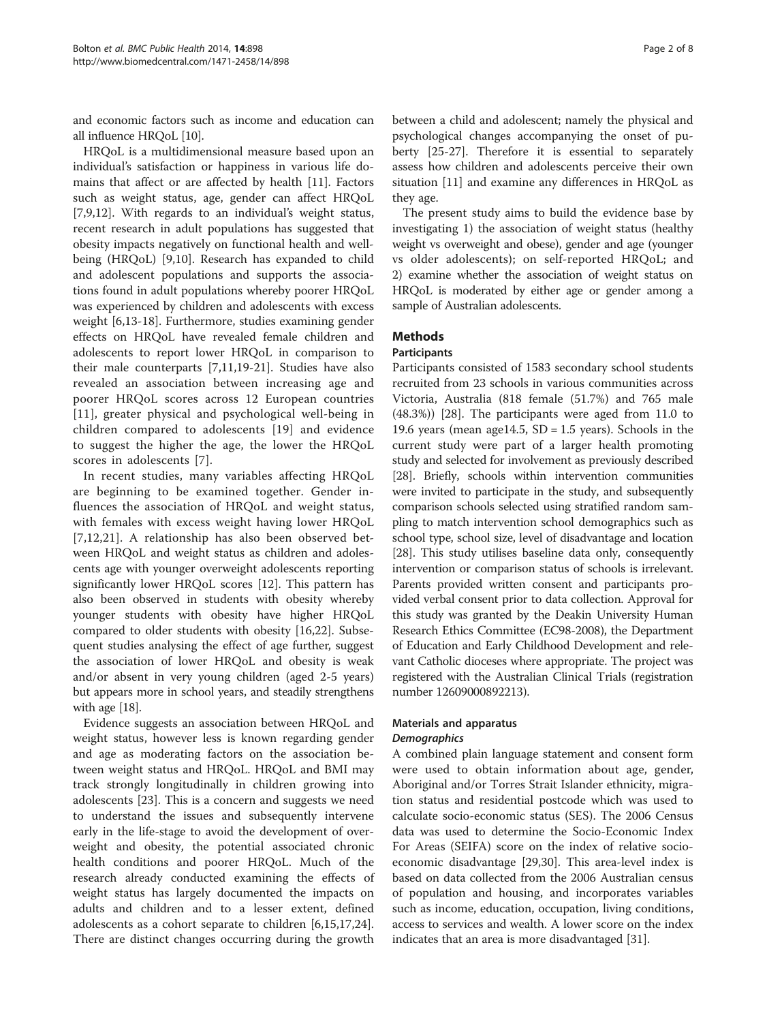and economic factors such as income and education can all influence HRQoL [[10](#page-7-0)].

HRQoL is a multidimensional measure based upon an individual's satisfaction or happiness in various life domains that affect or are affected by health [[11\]](#page-7-0). Factors such as weight status, age, gender can affect HRQoL [[7,9,12\]](#page-7-0). With regards to an individual's weight status, recent research in adult populations has suggested that obesity impacts negatively on functional health and wellbeing (HRQoL) [\[9,10\]](#page-7-0). Research has expanded to child and adolescent populations and supports the associations found in adult populations whereby poorer HRQoL was experienced by children and adolescents with excess weight [[6,13-18](#page-7-0)]. Furthermore, studies examining gender effects on HRQoL have revealed female children and adolescents to report lower HRQoL in comparison to their male counterparts [[7,11,19-21](#page-7-0)]. Studies have also revealed an association between increasing age and poorer HRQoL scores across 12 European countries [[11](#page-7-0)], greater physical and psychological well-being in children compared to adolescents [[19\]](#page-7-0) and evidence to suggest the higher the age, the lower the HRQoL scores in adolescents [\[7\]](#page-7-0).

In recent studies, many variables affecting HRQoL are beginning to be examined together. Gender influences the association of HRQoL and weight status, with females with excess weight having lower HRQoL [[7,12](#page-7-0),[21\]](#page-7-0). A relationship has also been observed between HRQoL and weight status as children and adolescents age with younger overweight adolescents reporting significantly lower HRQoL scores [\[12](#page-7-0)]. This pattern has also been observed in students with obesity whereby younger students with obesity have higher HRQoL compared to older students with obesity [\[16](#page-7-0),[22](#page-7-0)]. Subsequent studies analysing the effect of age further, suggest the association of lower HRQoL and obesity is weak and/or absent in very young children (aged 2-5 years) but appears more in school years, and steadily strengthens with age [\[18\]](#page-7-0).

Evidence suggests an association between HRQoL and weight status, however less is known regarding gender and age as moderating factors on the association between weight status and HRQoL. HRQoL and BMI may track strongly longitudinally in children growing into adolescents [[23\]](#page-7-0). This is a concern and suggests we need to understand the issues and subsequently intervene early in the life-stage to avoid the development of overweight and obesity, the potential associated chronic health conditions and poorer HRQoL. Much of the research already conducted examining the effects of weight status has largely documented the impacts on adults and children and to a lesser extent, defined adolescents as a cohort separate to children [\[6,15,17,24](#page-7-0)]. There are distinct changes occurring during the growth

between a child and adolescent; namely the physical and psychological changes accompanying the onset of puberty [\[25](#page-7-0)-[27](#page-7-0)]. Therefore it is essential to separately assess how children and adolescents perceive their own situation [[11](#page-7-0)] and examine any differences in HRQoL as they age.

The present study aims to build the evidence base by investigating 1) the association of weight status (healthy weight vs overweight and obese), gender and age (younger vs older adolescents); on self-reported HRQoL; and 2) examine whether the association of weight status on HRQoL is moderated by either age or gender among a sample of Australian adolescents.

# Methods

# Participants

Participants consisted of 1583 secondary school students recruited from 23 schools in various communities across Victoria, Australia (818 female (51.7%) and 765 male (48.3%)) [\[28](#page-7-0)]. The participants were aged from 11.0 to 19.6 years (mean age14.5,  $SD = 1.5$  years). Schools in the current study were part of a larger health promoting study and selected for involvement as previously described [[28](#page-7-0)]. Briefly, schools within intervention communities were invited to participate in the study, and subsequently comparison schools selected using stratified random sampling to match intervention school demographics such as school type, school size, level of disadvantage and location [[28](#page-7-0)]. This study utilises baseline data only, consequently intervention or comparison status of schools is irrelevant. Parents provided written consent and participants provided verbal consent prior to data collection. Approval for this study was granted by the Deakin University Human Research Ethics Committee (EC98-2008), the Department of Education and Early Childhood Development and relevant Catholic dioceses where appropriate. The project was registered with the Australian Clinical Trials (registration number 12609000892213).

# Materials and apparatus **Demographics**

A combined plain language statement and consent form were used to obtain information about age, gender, Aboriginal and/or Torres Strait Islander ethnicity, migration status and residential postcode which was used to calculate socio-economic status (SES). The 2006 Census data was used to determine the Socio-Economic Index For Areas (SEIFA) score on the index of relative socioeconomic disadvantage [\[29,30](#page-7-0)]. This area-level index is based on data collected from the 2006 Australian census of population and housing, and incorporates variables such as income, education, occupation, living conditions, access to services and wealth. A lower score on the index indicates that an area is more disadvantaged [[31\]](#page-7-0).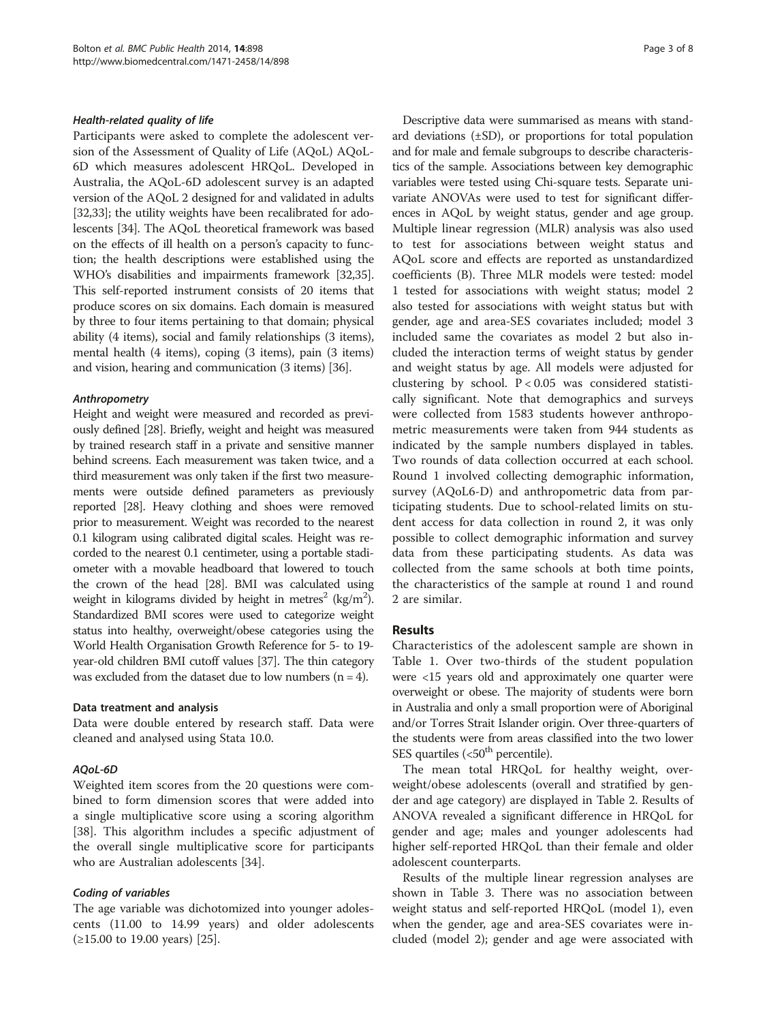# Health-related quality of life

Participants were asked to complete the adolescent version of the Assessment of Quality of Life (AQoL) AQoL-6D which measures adolescent HRQoL. Developed in Australia, the AQoL-6D adolescent survey is an adapted version of the AQoL 2 designed for and validated in adults [[32,33](#page-7-0)]; the utility weights have been recalibrated for adolescents [\[34\]](#page-7-0). The AQoL theoretical framework was based on the effects of ill health on a person's capacity to function; the health descriptions were established using the WHO's disabilities and impairments framework [\[32,35](#page-7-0)]. This self-reported instrument consists of 20 items that produce scores on six domains. Each domain is measured by three to four items pertaining to that domain; physical ability (4 items), social and family relationships (3 items), mental health (4 items), coping (3 items), pain (3 items) and vision, hearing and communication (3 items) [\[36\]](#page-7-0).

# Anthropometry

Height and weight were measured and recorded as previously defined [\[28\]](#page-7-0). Briefly, weight and height was measured by trained research staff in a private and sensitive manner behind screens. Each measurement was taken twice, and a third measurement was only taken if the first two measurements were outside defined parameters as previously reported [\[28\]](#page-7-0). Heavy clothing and shoes were removed prior to measurement. Weight was recorded to the nearest 0.1 kilogram using calibrated digital scales. Height was recorded to the nearest 0.1 centimeter, using a portable stadiometer with a movable headboard that lowered to touch the crown of the head [\[28\]](#page-7-0). BMI was calculated using weight in kilograms divided by height in metres $^2$  (kg/m $^2$ ). Standardized BMI scores were used to categorize weight status into healthy, overweight/obese categories using the World Health Organisation Growth Reference for 5- to 19 year-old children BMI cutoff values [\[37](#page-7-0)]. The thin category was excluded from the dataset due to low numbers  $(n = 4)$ .

# Data treatment and analysis

Data were double entered by research staff. Data were cleaned and analysed using Stata 10.0.

# AQoL-6D

Weighted item scores from the 20 questions were combined to form dimension scores that were added into a single multiplicative score using a scoring algorithm [[38\]](#page-7-0). This algorithm includes a specific adjustment of the overall single multiplicative score for participants who are Australian adolescents [\[34](#page-7-0)].

# Coding of variables

The age variable was dichotomized into younger adolescents (11.00 to 14.99 years) and older adolescents (≥15.00 to 19.00 years) [[25\]](#page-7-0).

Descriptive data were summarised as means with standard deviations  $(\pm SD)$ , or proportions for total population and for male and female subgroups to describe characteristics of the sample. Associations between key demographic variables were tested using Chi-square tests. Separate univariate ANOVAs were used to test for significant differences in AQoL by weight status, gender and age group. Multiple linear regression (MLR) analysis was also used to test for associations between weight status and AQoL score and effects are reported as unstandardized coefficients (B). Three MLR models were tested: model 1 tested for associations with weight status; model 2 also tested for associations with weight status but with gender, age and area-SES covariates included; model 3 included same the covariates as model 2 but also included the interaction terms of weight status by gender and weight status by age. All models were adjusted for clustering by school.  $P < 0.05$  was considered statistically significant. Note that demographics and surveys were collected from 1583 students however anthropometric measurements were taken from 944 students as indicated by the sample numbers displayed in tables. Two rounds of data collection occurred at each school. Round 1 involved collecting demographic information, survey (AQoL6-D) and anthropometric data from participating students. Due to school-related limits on student access for data collection in round 2, it was only possible to collect demographic information and survey data from these participating students. As data was collected from the same schools at both time points, the characteristics of the sample at round 1 and round 2 are similar.

# Results

Characteristics of the adolescent sample are shown in Table [1](#page-4-0). Over two-thirds of the student population were <15 years old and approximately one quarter were overweight or obese. The majority of students were born in Australia and only a small proportion were of Aboriginal and/or Torres Strait Islander origin. Over three-quarters of the students were from areas classified into the two lower SES quartiles  $(<50<sup>th</sup>$  percentile).

The mean total HRQoL for healthy weight, overweight/obese adolescents (overall and stratified by gender and age category) are displayed in Table [2](#page-4-0). Results of ANOVA revealed a significant difference in HRQoL for gender and age; males and younger adolescents had higher self-reported HRQoL than their female and older adolescent counterparts.

Results of the multiple linear regression analyses are shown in Table [3.](#page-5-0) There was no association between weight status and self-reported HRQoL (model 1), even when the gender, age and area-SES covariates were included (model 2); gender and age were associated with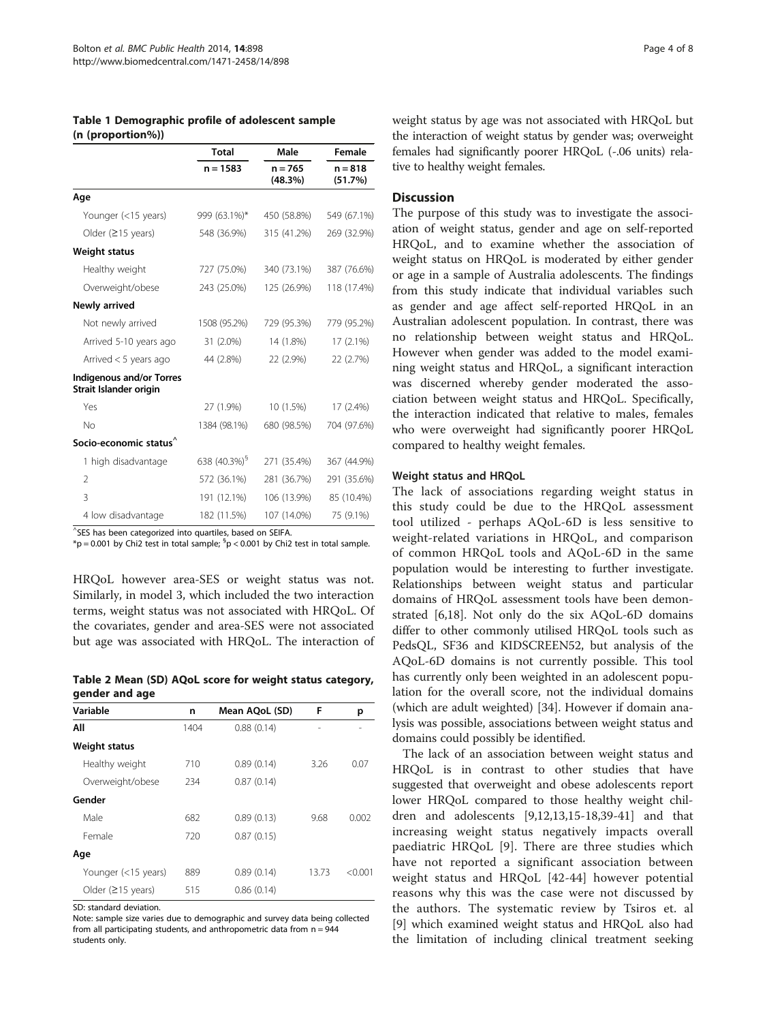<span id="page-4-0"></span>Table 1 Demographic profile of adolescent sample (n (proportion%))

|                                                            | <b>Total</b>             | Male                 | <b>Female</b><br>$n = 818$<br>(51.7%) |  |
|------------------------------------------------------------|--------------------------|----------------------|---------------------------------------|--|
|                                                            | $n = 1583$               | $n = 765$<br>(48.3%) |                                       |  |
| Age                                                        |                          |                      |                                       |  |
| Younger (<15 years)                                        | 999 (63.1%)*             | 450 (58.8%)          | 549 (67.1%)                           |  |
| Older $(≥15$ years)                                        | 548 (36.9%)              | 315 (41.2%)          | 269 (32.9%)                           |  |
| Weight status                                              |                          |                      |                                       |  |
| Healthy weight                                             | 727 (75.0%)              | 340 (73.1%)          | 387 (76.6%)                           |  |
| Overweight/obese                                           | 243 (25.0%)              | 125 (26.9%)          | 118 (17.4%)                           |  |
| Newly arrived                                              |                          |                      |                                       |  |
| Not newly arrived                                          | 1508 (95.2%)             | 729 (95.3%)          | 779 (95.2%)                           |  |
| Arrived 5-10 years ago                                     | 31 (2.0%)                | 14 (1.8%)            | $17(2.1\%)$                           |  |
| Arrived < 5 years ago                                      | 44 (2.8%)                | 22 (2.9%)            | 22 (2.7%)                             |  |
| <b>Indigenous and/or Torres</b><br>Strait Islander origin  |                          |                      |                                       |  |
| Yes                                                        | 27 (1.9%)                | 10 (1.5%)            | $17(2.4\%)$                           |  |
| No                                                         | 1384 (98.1%)             | 680 (98.5%)          | 704 (97.6%)                           |  |
| Socio-economic status <sup>^</sup>                         |                          |                      |                                       |  |
| 1 high disadvantage                                        | 638 (40.3%) <sup>§</sup> | 271 (35.4%)          | 367 (44.9%)                           |  |
| $\mathfrak{D}$                                             | 572 (36.1%)              | 281 (36.7%)          | 291 (35.6%)                           |  |
| 3                                                          | 191 (12.1%)              | 106 (13.9%)          | 85 (10.4%)                            |  |
| 4 low disadvantage<br>$\wedge$ $\sim$ $\sim$ $\sim$ $\sim$ | 182 (11.5%)              | 107 (14.0%)          | 75 (9.1%)                             |  |

^ SES has been categorized into quartiles, based on SEIFA.

 ${}^*\mathsf{p} =$  0.001 by Chi2 test in total sample;  ${}^{\mathsf{S}}\mathsf{p}$  < 0.001 by Chi2 test in total sample.

HRQoL however area-SES or weight status was not. Similarly, in model 3, which included the two interaction terms, weight status was not associated with HRQoL. Of the covariates, gender and area-SES were not associated but age was associated with HRQoL. The interaction of

Table 2 Mean (SD) AQoL score for weight status category, gender and age

| Variable                    | n    | Mean AQoL (SD) | F     | р       |
|-----------------------------|------|----------------|-------|---------|
| All                         | 1404 | 0.88(0.14)     |       |         |
| <b>Weight status</b>        |      |                |       |         |
| Healthy weight              | 710  | 0.89(0.14)     | 3.26  | 0.07    |
| Overweight/obese            | 234  | 0.87(0.14)     |       |         |
| Gender                      |      |                |       |         |
| Male                        | 682  | 0.89(0.13)     | 9.68  | 0.002   |
| Female                      | 720  | 0.87(0.15)     |       |         |
| Age                         |      |                |       |         |
| Younger (<15 years)         | 889  | 0.89(0.14)     | 13.73 | < 0.001 |
| Older $(215 \text{ years})$ | 515  | 0.86(0.14)     |       |         |

SD: standard deviation.

Note: sample size varies due to demographic and survey data being collected from all participating students, and anthropometric data from  $n = 944$ students only.

weight status by age was not associated with HRQoL but the interaction of weight status by gender was; overweight females had significantly poorer HRQoL (-.06 units) relative to healthy weight females.

# **Discussion**

The purpose of this study was to investigate the association of weight status, gender and age on self-reported HRQoL, and to examine whether the association of weight status on HRQoL is moderated by either gender or age in a sample of Australia adolescents. The findings from this study indicate that individual variables such as gender and age affect self-reported HRQoL in an Australian adolescent population. In contrast, there was no relationship between weight status and HRQoL. However when gender was added to the model examining weight status and HRQoL, a significant interaction was discerned whereby gender moderated the association between weight status and HRQoL. Specifically, the interaction indicated that relative to males, females who were overweight had significantly poorer HRQoL compared to healthy weight females.

#### Weight status and HRQoL

The lack of associations regarding weight status in this study could be due to the HRQoL assessment tool utilized - perhaps AQoL-6D is less sensitive to weight-related variations in HRQoL, and comparison of common HRQoL tools and AQoL-6D in the same population would be interesting to further investigate. Relationships between weight status and particular domains of HRQoL assessment tools have been demonstrated [\[6,18](#page-7-0)]. Not only do the six AQoL-6D domains differ to other commonly utilised HRQoL tools such as PedsQL, SF36 and KIDSCREEN52, but analysis of the AQoL-6D domains is not currently possible. This tool has currently only been weighted in an adolescent population for the overall score, not the individual domains (which are adult weighted) [[34](#page-7-0)]. However if domain analysis was possible, associations between weight status and domains could possibly be identified.

The lack of an association between weight status and HRQoL is in contrast to other studies that have suggested that overweight and obese adolescents report lower HRQoL compared to those healthy weight children and adolescents [\[9,12,13,15-18](#page-7-0),[39](#page-8-0)-[41\]](#page-8-0) and that increasing weight status negatively impacts overall paediatric HRQoL [\[9](#page-7-0)]. There are three studies which have not reported a significant association between weight status and HRQoL [[42-44\]](#page-8-0) however potential reasons why this was the case were not discussed by the authors. The systematic review by Tsiros et. al [[9\]](#page-7-0) which examined weight status and HRQoL also had the limitation of including clinical treatment seeking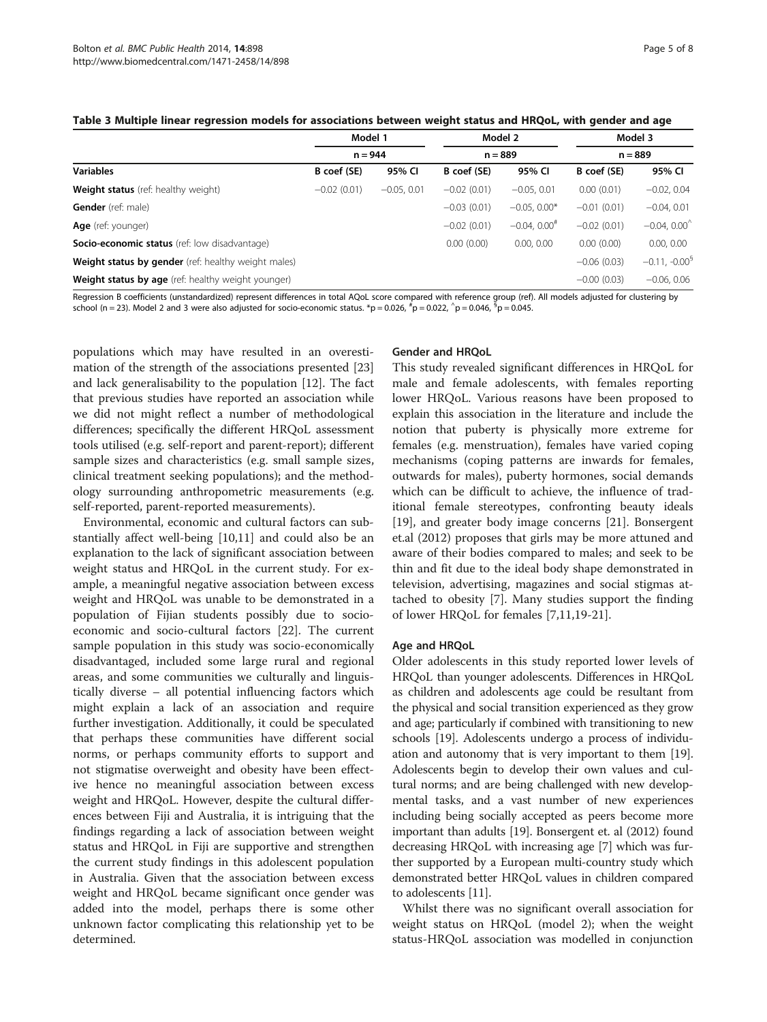<span id="page-5-0"></span>

|                                                      | Model 1<br>$n = 944$ |               | Model 2<br>$n = 889$ |                            | Model 3<br>$n = 889$ |                 |
|------------------------------------------------------|----------------------|---------------|----------------------|----------------------------|----------------------|-----------------|
| <b>Variables</b>                                     |                      |               |                      |                            |                      |                 |
|                                                      | B coef (SE)          | 95% CI        | B coef (SE)          | 95% CI                     | B coef (SE)          | 95% CI          |
| <b>Weight status</b> (ref: healthy weight)           | $-0.02(0.01)$        | $-0.05, 0.01$ | $-0.02(0.01)$        | $-0.05, 0.01$              | 0.00(0.01)           | $-0.02, 0.04$   |
| <b>Gender</b> (ref: male)                            |                      |               | $-0.03(0.01)$        | $-0.05, 0.00*$             | $-0.01(0.01)$        | $-0.04, 0.01$   |
| Age (ref: younger)                                   |                      |               | $-0.02(0.01)$        | $-0.04, 0.00$ <sup>#</sup> | $-0.02(0.01)$        | $-0.04, 0.00$   |
| <b>Socio-economic status</b> (ref: low disadvantage) |                      |               | 0.00(0.00)           | 0.00, 0.00                 | 0.00(0.00)           | 0.00, 0.00      |
| Weight status by gender (ref: healthy weight males)  |                      |               |                      |                            | $-0.06(0.03)$        | $-0.11, -0.009$ |
| Weight status by age (ref: healthy weight younger)   |                      |               |                      |                            | $-0.00$ (0.03)       | $-0.06, 0.06$   |

Regression B coefficients (unstandardized) represent differences in total AQoL score compared with reference group (ref). All models adjusted for clustering by school (n = 23). Model 2 and 3 were also adjusted for socio-economic status. \*p = 0.026, <sup>#</sup>p = 0.022, ^p = 0.046, <sup>5</sup>p = 0.045.

populations which may have resulted in an overestimation of the strength of the associations presented [[23](#page-7-0)] and lack generalisability to the population [[12](#page-7-0)]. The fact that previous studies have reported an association while we did not might reflect a number of methodological differences; specifically the different HRQoL assessment tools utilised (e.g. self-report and parent-report); different sample sizes and characteristics (e.g. small sample sizes, clinical treatment seeking populations); and the methodology surrounding anthropometric measurements (e.g. self-reported, parent-reported measurements).

Environmental, economic and cultural factors can substantially affect well-being [[10](#page-7-0),[11](#page-7-0)] and could also be an explanation to the lack of significant association between weight status and HRQoL in the current study. For example, a meaningful negative association between excess weight and HRQoL was unable to be demonstrated in a population of Fijian students possibly due to socioeconomic and socio-cultural factors [[22\]](#page-7-0). The current sample population in this study was socio-economically disadvantaged, included some large rural and regional areas, and some communities we culturally and linguistically diverse – all potential influencing factors which might explain a lack of an association and require further investigation. Additionally, it could be speculated that perhaps these communities have different social norms, or perhaps community efforts to support and not stigmatise overweight and obesity have been effective hence no meaningful association between excess weight and HRQoL. However, despite the cultural differences between Fiji and Australia, it is intriguing that the findings regarding a lack of association between weight status and HRQoL in Fiji are supportive and strengthen the current study findings in this adolescent population in Australia. Given that the association between excess weight and HRQoL became significant once gender was added into the model, perhaps there is some other unknown factor complicating this relationship yet to be determined.

# Gender and HRQoL

This study revealed significant differences in HRQoL for male and female adolescents, with females reporting lower HRQoL. Various reasons have been proposed to explain this association in the literature and include the notion that puberty is physically more extreme for females (e.g. menstruation), females have varied coping mechanisms (coping patterns are inwards for females, outwards for males), puberty hormones, social demands which can be difficult to achieve, the influence of traditional female stereotypes, confronting beauty ideals [[19\]](#page-7-0), and greater body image concerns [[21](#page-7-0)]. Bonsergent et.al (2012) proposes that girls may be more attuned and aware of their bodies compared to males; and seek to be thin and fit due to the ideal body shape demonstrated in television, advertising, magazines and social stigmas attached to obesity [[7\]](#page-7-0). Many studies support the finding of lower HRQoL for females [\[7,11,19](#page-7-0)-[21\]](#page-7-0).

# Age and HRQoL

Older adolescents in this study reported lower levels of HRQoL than younger adolescents. Differences in HRQoL as children and adolescents age could be resultant from the physical and social transition experienced as they grow and age; particularly if combined with transitioning to new schools [\[19\]](#page-7-0). Adolescents undergo a process of individuation and autonomy that is very important to them [[19](#page-7-0)]. Adolescents begin to develop their own values and cultural norms; and are being challenged with new developmental tasks, and a vast number of new experiences including being socially accepted as peers become more important than adults [[19](#page-7-0)]. Bonsergent et. al (2012) found decreasing HRQoL with increasing age [[7\]](#page-7-0) which was further supported by a European multi-country study which demonstrated better HRQoL values in children compared to adolescents [[11](#page-7-0)].

Whilst there was no significant overall association for weight status on HRQoL (model 2); when the weight status-HRQoL association was modelled in conjunction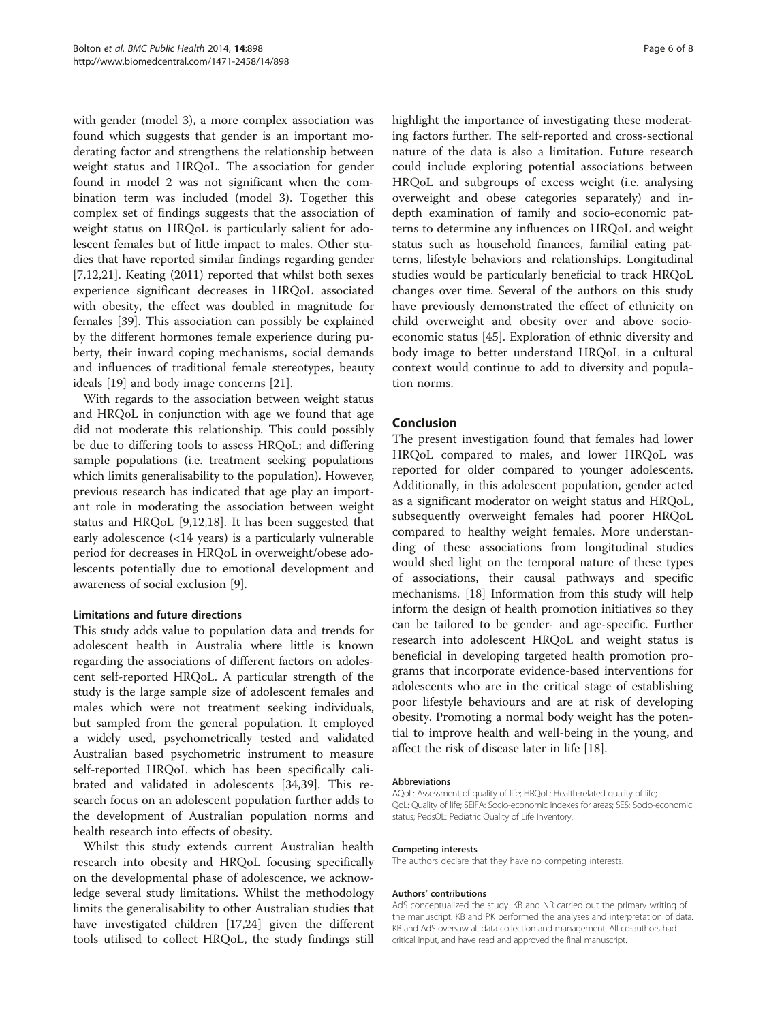with gender (model 3), a more complex association was found which suggests that gender is an important moderating factor and strengthens the relationship between weight status and HRQoL. The association for gender found in model 2 was not significant when the combination term was included (model 3). Together this complex set of findings suggests that the association of weight status on HRQoL is particularly salient for adolescent females but of little impact to males. Other studies that have reported similar findings regarding gender [[7,12,21\]](#page-7-0). Keating (2011) reported that whilst both sexes experience significant decreases in HRQoL associated with obesity, the effect was doubled in magnitude for females [\[39](#page-8-0)]. This association can possibly be explained by the different hormones female experience during puberty, their inward coping mechanisms, social demands and influences of traditional female stereotypes, beauty ideals [[19\]](#page-7-0) and body image concerns [\[21](#page-7-0)].

With regards to the association between weight status and HRQoL in conjunction with age we found that age did not moderate this relationship. This could possibly be due to differing tools to assess HRQoL; and differing sample populations (i.e. treatment seeking populations which limits generalisability to the population). However, previous research has indicated that age play an important role in moderating the association between weight status and HRQoL [\[9,12,18\]](#page-7-0). It has been suggested that early adolescence (<14 years) is a particularly vulnerable period for decreases in HRQoL in overweight/obese adolescents potentially due to emotional development and awareness of social exclusion [[9\]](#page-7-0).

# Limitations and future directions

This study adds value to population data and trends for adolescent health in Australia where little is known regarding the associations of different factors on adolescent self-reported HRQoL. A particular strength of the study is the large sample size of adolescent females and males which were not treatment seeking individuals, but sampled from the general population. It employed a widely used, psychometrically tested and validated Australian based psychometric instrument to measure self-reported HRQoL which has been specifically calibrated and validated in adolescents [[34,](#page-7-0)[39\]](#page-8-0). This research focus on an adolescent population further adds to the development of Australian population norms and health research into effects of obesity.

Whilst this study extends current Australian health research into obesity and HRQoL focusing specifically on the developmental phase of adolescence, we acknowledge several study limitations. Whilst the methodology limits the generalisability to other Australian studies that have investigated children [\[17,24](#page-7-0)] given the different tools utilised to collect HRQoL, the study findings still

highlight the importance of investigating these moderating factors further. The self-reported and cross-sectional nature of the data is also a limitation. Future research could include exploring potential associations between HRQoL and subgroups of excess weight (i.e. analysing overweight and obese categories separately) and indepth examination of family and socio-economic patterns to determine any influences on HRQoL and weight status such as household finances, familial eating patterns, lifestyle behaviors and relationships. Longitudinal studies would be particularly beneficial to track HRQoL changes over time. Several of the authors on this study have previously demonstrated the effect of ethnicity on child overweight and obesity over and above socioeconomic status [[45](#page-8-0)]. Exploration of ethnic diversity and body image to better understand HRQoL in a cultural context would continue to add to diversity and population norms.

# Conclusion

The present investigation found that females had lower HRQoL compared to males, and lower HRQoL was reported for older compared to younger adolescents. Additionally, in this adolescent population, gender acted as a significant moderator on weight status and HRQoL, subsequently overweight females had poorer HRQoL compared to healthy weight females. More understanding of these associations from longitudinal studies would shed light on the temporal nature of these types of associations, their causal pathways and specific mechanisms. [\[18](#page-7-0)] Information from this study will help inform the design of health promotion initiatives so they can be tailored to be gender- and age-specific. Further research into adolescent HRQoL and weight status is beneficial in developing targeted health promotion programs that incorporate evidence-based interventions for adolescents who are in the critical stage of establishing poor lifestyle behaviours and are at risk of developing obesity. Promoting a normal body weight has the potential to improve health and well-being in the young, and affect the risk of disease later in life [[18](#page-7-0)].

#### Abbreviations

AQoL: Assessment of quality of life; HRQoL: Health-related quality of life; QoL: Quality of life; SEIFA: Socio-economic indexes for areas; SES: Socio-economic status; PedsQL: Pediatric Quality of Life Inventory.

#### Competing interests

The authors declare that they have no competing interests.

#### Authors' contributions

AdS conceptualized the study. KB and NR carried out the primary writing of the manuscript. KB and PK performed the analyses and interpretation of data. KB and AdS oversaw all data collection and management. All co-authors had critical input, and have read and approved the final manuscript.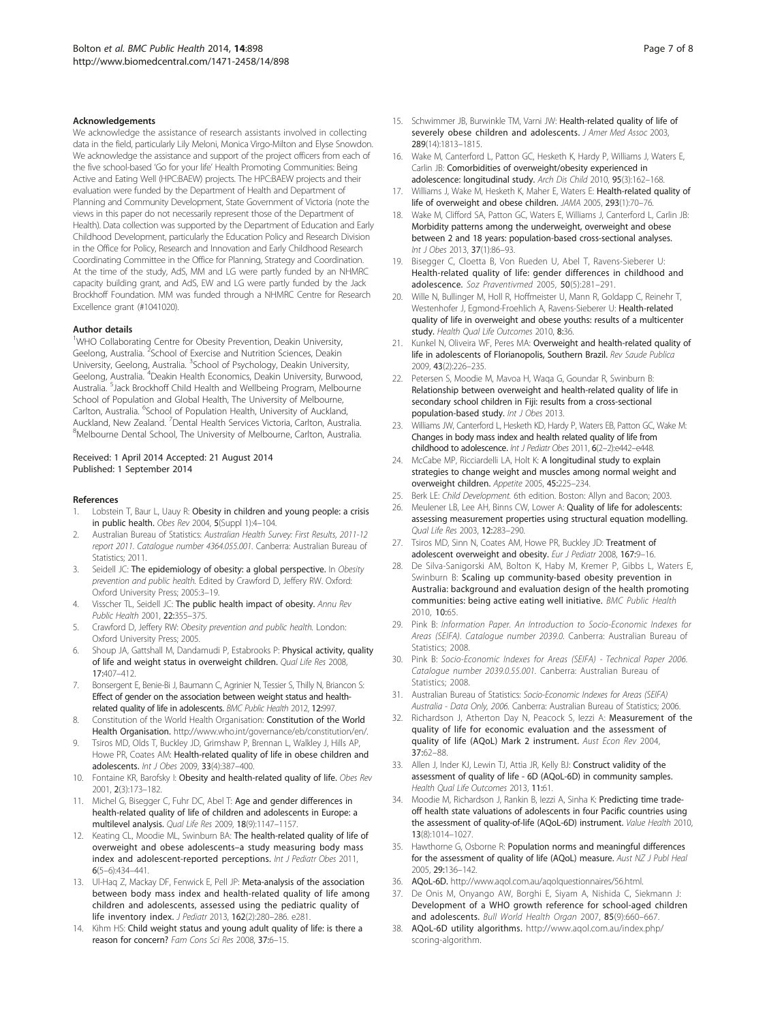#### <span id="page-7-0"></span>Acknowledgements

We acknowledge the assistance of research assistants involved in collecting data in the field, particularly Lily Meloni, Monica Virgo-Milton and Elyse Snowdon. We acknowledge the assistance and support of the project officers from each of the five school-based 'Go for your life' Health Promoting Communities: Being Active and Eating Well (HPC:BAEW) projects. The HPC:BAEW projects and their evaluation were funded by the Department of Health and Department of Planning and Community Development, State Government of Victoria (note the views in this paper do not necessarily represent those of the Department of Health). Data collection was supported by the Department of Education and Early Childhood Development, particularly the Education Policy and Research Division in the Office for Policy, Research and Innovation and Early Childhood Research Coordinating Committee in the Office for Planning, Strategy and Coordination. At the time of the study, AdS, MM and LG were partly funded by an NHMRC capacity building grant, and AdS, EW and LG were partly funded by the Jack Brockhoff Foundation. MM was funded through a NHMRC Centre for Research Excellence grant (#1041020).

#### Author details

<sup>1</sup>WHO Collaborating Centre for Obesity Prevention, Deakin University, Geelong, Australia. <sup>2</sup>School of Exercise and Nutrition Sciences, Deakin University, Geelong, Australia. <sup>3</sup>School of Psychology, Deakin University, Geelong, Australia. <sup>4</sup>Deakin Health Economics, Deakin University, Burwood, Australia. <sup>5</sup>Jack Brockhoff Child Health and Wellbeing Program, Melbourne School of Population and Global Health, The University of Melbourne, Carlton, Australia. <sup>6</sup>School of Population Health, University of Auckland, Auckland, New Zealand. <sup>7</sup> Dental Health Services Victoria, Carlton, Australia.<br><sup>8</sup>Melhourne Dental School. The University of Melhourne, Carlton, Australia. <sup>8</sup>Melbourne Dental School, The University of Melbourne, Carlton, Australia.

#### Received: 1 April 2014 Accepted: 21 August 2014 Published: 1 September 2014

#### References

- 1. Lobstein T, Baur L, Uauy R: Obesity in children and young people: a crisis in public health. Obes Rev 2004, 5(Suppl 1):4–104.
- 2. Australian Bureau of Statistics: Australian Health Survey: First Results, 2011-12 report 2011. Catalogue number 4364.055.001. Canberra: Australian Bureau of Statistics: 2011.
- Seidell JC: The epidemiology of obesity: a global perspective. In Obesity prevention and public health. Edited by Crawford D, Jeffery RW. Oxford: Oxford University Press; 2005:3–19.
- 4. Visscher TL, Seidell JC: The public health impact of obesity. Annu Rev Public Health 2001, 22:355–375.
- 5. Crawford D, Jeffery RW: Obesity prevention and public health. London: Oxford University Press; 2005.
- Shoup JA, Gattshall M, Dandamudi P, Estabrooks P: Physical activity, quality of life and weight status in overweight children. Qual Life Res 2008, 17:407–412.
- 7. Bonsergent E, Benie-Bi J, Baumann C, Agrinier N, Tessier S, Thilly N, Briancon S: Effect of gender on the association between weight status and healthrelated quality of life in adolescents. BMC Public Health 2012, 12:997.
- 8. Constitution of the World Health Organisation: Constitution of the World Health Organisation. [http://www.who.int/governance/eb/constitution/en/.](http://www.who.int/governance/eb/constitution/en/)
- 9. Tsiros MD, Olds T, Buckley JD, Grimshaw P, Brennan L, Walkley J, Hills AP, Howe PR, Coates AM: Health-related quality of life in obese children and adolescents. Int J Obes 2009, 33(4):387–400.
- 10. Fontaine KR, Barofsky I: Obesity and health-related quality of life. Obes Rev 2001, 2(3):173–182.
- 11. Michel G, Bisegger C, Fuhr DC, Abel T: Age and gender differences in health-related quality of life of children and adolescents in Europe: a multilevel analysis. Qual Life Res 2009, 18(9):1147–1157.
- 12. Keating CL, Moodie ML, Swinburn BA: The health-related quality of life of overweight and obese adolescents–a study measuring body mass index and adolescent-reported perceptions. Int J Pediatr Obes 2011, 6(5–6):434–441.
- 13. Ul-Haq Z, Mackay DF, Fenwick E, Pell JP: Meta-analysis of the association between body mass index and health-related quality of life among children and adolescents, assessed using the pediatric quality of life inventory index. J Pediatr 2013, 162(2):280–286. e281.
- 14. Kihm HS: Child weight status and young adult quality of life: is there a reason for concern? Fam Cons Sci Res 2008, 37:6–15.
- 15. Schwimmer JB, Burwinkle TM, Varni JW: Health-related quality of life of severely obese children and adolescents. J Amer Med Assoc 2003, 289(14):1813–1815.
- 16. Wake M, Canterford L, Patton GC, Hesketh K, Hardy P, Williams J, Waters E, Carlin JB: Comorbidities of overweight/obesity experienced in adolescence: longitudinal study. Arch Dis Child 2010, 95(3):162–168.
- 17. Williams J, Wake M, Hesketh K, Maher E, Waters E: Health-related quality of life of overweight and obese children. JAMA 2005, 293(1):70–76.
- 18. Wake M, Clifford SA, Patton GC, Waters E, Williams J, Canterford L, Carlin JB: Morbidity patterns among the underweight, overweight and obese between 2 and 18 years: population-based cross-sectional analyses. Int J Obes 2013, 37(1):86–93.
- 19. Bisegger C, Cloetta B, Von Rueden U, Abel T, Ravens-Sieberer U: Health-related quality of life: gender differences in childhood and adolescence. Soz Praventivmed 2005, 50(5):281–291.
- 20. Wille N, Bullinger M, Holl R, Hoffmeister U, Mann R, Goldapp C, Reinehr T, Westenhofer J, Egmond-Froehlich A, Ravens-Sieberer U: Health-related quality of life in overweight and obese youths: results of a multicenter study. Health Qual Life Outcomes 2010, 8:36.
- 21. Kunkel N, Oliveira WF, Peres MA: Overweight and health-related quality of life in adolescents of Florianopolis, Southern Brazil. Rev Saude Publica 2009, 43(2):226–235.
- 22. Petersen S, Moodie M, Mavoa H, Waqa G, Goundar R, Swinburn B: Relationship between overweight and health-related quality of life in secondary school children in Fiji: results from a cross-sectional population-based study. Int J Obes 2013.
- 23. Williams JW, Canterford L, Hesketh KD, Hardy P, Waters EB, Patton GC, Wake M: Changes in body mass index and health related quality of life from childhood to adolescence. Int J Pediatr Obes 2011, 6(2-2):e442-e448.
- 24. McCabe MP, Ricciardelli LA, Holt K: A longitudinal study to explain strategies to change weight and muscles among normal weight and overweight children. Appetite 2005, 45:225–234.
- 25. Berk LE: Child Development. 6th edition. Boston: Allyn and Bacon; 2003.
- 26. Meulener LB, Lee AH, Binns CW, Lower A: Quality of life for adolescents: assessing measurement properties using structural equation modelling. Qual Life Res 2003, 12:283–290.
- 27. Tsiros MD, Sinn N, Coates AM, Howe PR, Buckley JD: Treatment of adolescent overweight and obesity. Eur J Pediatr 2008, 167:9-16.
- De Silva-Sanigorski AM, Bolton K, Haby M, Kremer P, Gibbs L, Waters E, Swinburn B: Scaling up community-based obesity prevention in Australia: background and evaluation design of the health promoting communities: being active eating well initiative. BMC Public Health 2010, 10:65.
- 29. Pink B: Information Paper. An Introduction to Socio-Economic Indexes for Areas (SEIFA). Catalogue number 2039.0. Canberra: Australian Bureau of Statistics: 2008.
- 30. Pink B: Socio-Economic Indexes for Areas (SEIFA) Technical Paper 2006. Catalogue number 2039.0.55.001. Canberra: Australian Bureau of Statistics: 2008
- 31. Australian Bureau of Statistics: Socio-Economic Indexes for Areas (SEIFA) Australia - Data Only, 2006. Canberra: Australian Bureau of Statistics; 2006.
- 32. Richardson J, Atherton Day N, Peacock S, lezzi A: Measurement of the quality of life for economic evaluation and the assessment of quality of life (AQoL) Mark 2 instrument. Aust Econ Rev 2004, 37:62–88.
- 33. Allen J, Inder KJ, Lewin TJ, Attia JR, Kelly BJ: Construct validity of the assessment of quality of life - 6D (AQoL-6D) in community samples. Health Qual Life Outcomes 2013, 11:61.
- 34. Moodie M, Richardson J, Rankin B, Iezzi A, Sinha K: Predicting time tradeoff health state valuations of adolescents in four Pacific countries using the assessment of quality-of-life (AQoL-6D) instrument. Value Health 2010, 13(8):1014–1027.
- 35. Hawthorne G, Osborne R: Population norms and meaningful differences for the assessment of quality of life (AQoL) measure. Aust NZ J Publ Heal 2005, 29:136–142.
- 36. AQoL-6D. [http://www.aqol.com.au/aqolquestionnaires/56.html.](http://www.aqol.com.au/aqolquestionnaires/56.html)
- 37. De Onis M, Onyango AW, Borghi E, Siyam A, Nishida C, Siekmann J: Development of a WHO growth reference for school-aged children and adolescents. Bull World Health Organ 2007, 85(9):660–667.
- 38. AQoL-6D utility algorithms. [http://www.aqol.com.au/index.php/](http://www.aqol.com.au/index.php/scoring-algorithm) [scoring-algorithm.](http://www.aqol.com.au/index.php/scoring-algorithm)